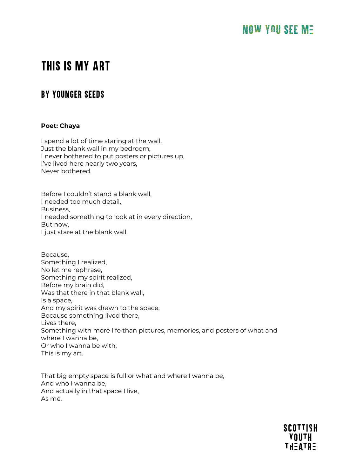# THIS IS MY ART

# BY YOUNGER SEEDS

## **Poet: Chaya**

I spend a lot of time staring at the wall, Just the blank wall in my bedroom, I never bothered to put posters or pictures up, I've lived here nearly two years, Never bothered.

Before I couldn't stand a blank wall, I needed too much detail, Business, I needed something to look at in every direction, But now, I just stare at the blank wall.

Because, Something I realized, No let me rephrase, Something my spirit realized, Before my brain did, Was that there in that blank wall, Is a space, And my spirit was drawn to the space, Because something lived there, Lives there, Something with more life than pictures, memories, and posters of what and where I wanna be, Or who I wanna be with, This is my art.

That big empty space is full or what and where I wanna be, And who I wanna be, And actually in that space I live, As me.

> **SCOTTISH YOUTH** TH=ATR=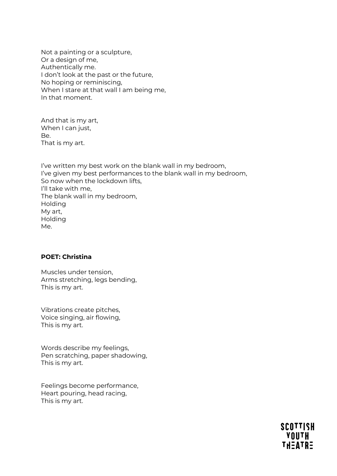Not a painting or a sculpture, Or a design of me, Authentically me. I don't look at the past or the future, No hoping or reminiscing, When I stare at that wall I am being me, In that moment.

And that is my art, When I can just, Be. That is my art.

I've written my best work on the blank wall in my bedroom, I've given my best performances to the blank wall in my bedroom, So now when the lockdown lifts, I'll take with me, The blank wall in my bedroom, Holding My art, Holding Me.

# **POET: Christina**

Muscles under tension, Arms stretching, legs bending, This is my art.

Vibrations create pitches, Voice singing, air flowing, This is my art.

Words describe my feelings, Pen scratching, paper shadowing, This is my art.

Feelings become performance, Heart pouring, head racing, This is my art.

> **SCOTTISH YOUTH** THEATRE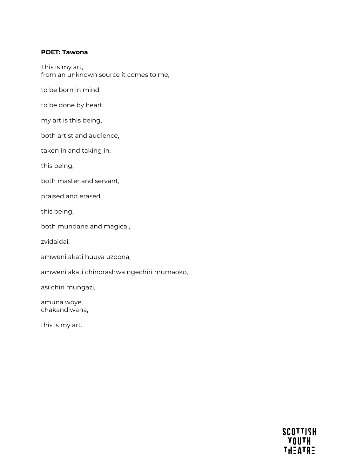#### **POET: Tawona**

This is my art, from an unknown source it comes to me,

to be born in mind,

to be done by heart,

my art is this being,

both artist and audience,

taken in and taking in,

this being,

both master and servant,

praised and erased,

this being,

both mundane and magical,

zvidaidai,

amweni akati huuya uzoona,

amweni akati chinorashwa ngechiri mumaoko,

asi chiri mungazi,

amuna woye, chakandiwana,

this is my art.

**SCOTTISH HTUOY**<br>FHEATRE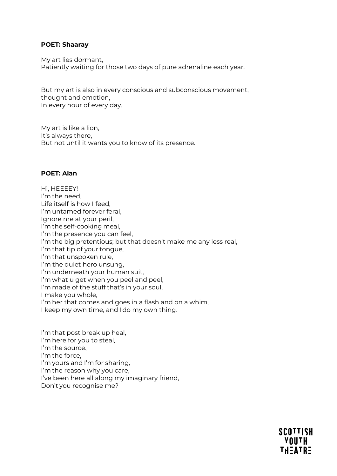#### **POET: Shaaray**

My art lies dormant, Patiently waiting for those two days of pure adrenaline each year.

But my art is also in every conscious and subconscious movement, thought and emotion, In every hour of every day.

My art is like a lion, It's always there, But not until it wants you to know of its presence.

#### **POET: Alan**

Hi, HEEEEY!   I'm the need, Life itself is how I feed, I'm untamed forever feral, Ignore me at your peril, I'm the self-cooking meal, I'm the presence you can feel, I'm the big pretentious; but that doesn't make me any less real, I'm that tip of your tongue, I'm that unspoken rule, I'm the quiet hero unsung, I'm underneath your human suit, I'm what u get when you peel and peel, I'm made of the stuff that's in your soul, I make you whole, I'm her that comes and goes in a flash and on a whim, I keep my own time, and I do my own thing.

I'm that post break up heal, I'm here for you to steal,   I'm the source, I'm the force,   I'm yours and I'm for sharing, I'm the reason why you care, I've been here all along my imaginary friend, Don't you recognise me?

> **SCOTTISH YOUTH THEATRE**